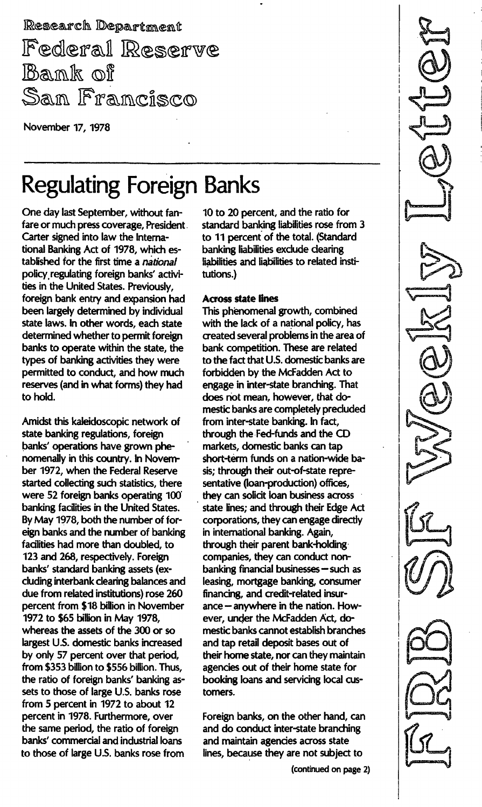Research Department Federal Reserve Bank of San Francisco

November 17, 1978

# Regulating Foreign Banks

One day last September, without fanfare or much press coverage, President Carter signed into law the International Banking Act of 1978, which established for the first time a *national* policy, regulating foreign banks' activities in the United States. Previously, foreign bank entry and expansion had been largely determined by individual state laws. In other words, each state determined whether to permit foreign banks to operate within the state, the types of banking activities they were permitted to conduct, and how much reserves (and in what forms) they had to hold.

Amidst this kaleidoscopic network of state banking regulations, foreign banks' operations have grown phenomenally in this country. In November 1972, when the Federal Reserve started collecting such statistics, there were 52 foreign banks operating 100' banking facilities in the United States. By May 1978, both the number of foreign banks and the number of banking facilities had more than doubled, to 123 and 268, respectively. Foreign banks' standard banking assets (excluding interbank clearing balances and due from related institutions) rose 260 percent from \$18 billion in November 1972 to \$65 billion in May 1978, whereas the assets of the 300 or so largest U.s. domestic banks increased by only 57 percent over that period, from \$353 billion to \$556 billion. Thus, the ratio of foreign banks' banking assets to those of large U.S. banks rose from 5 percent in 1972 to about 12 percent in 1978. Furthermore, over the same period, the ratio of foreign banks' commercial and industrial loans to those of large U.s. banks rose from

10 to 20 percent, and the ratio for standard banking liabilities rose from 3 to 11 percent of the total. (Standard banking liabilities exclude clearing liabilities and liabilities to related institutions.)

# **Across state lines**

This phenomenal growth, combined with the lack of a national policy, has created several problems in the area of bank competition. These are related to the fact that U.S. domestic banks are forbidden by the McFadden Act to engage in inter-state branching. That does not mean, however, that domestic banks are completely precluded from inter-state banking. In fact, through the Fed-funds and the CD markets, domestic banks can tap short-term funds on a nation-wide basis; through their out-of-state representative (loan-production) offices, they can solicit loan business across state lines; and through their Edge Act corporations, they can engage directly in international banking. Again, through their parent bank-holding companies, they can conduct non $banking$  financial businesses  $-$  such as leasing, mortgage banking, consumer financing, and credit-related insurance - anywhere in the nation. However, under the McFadden Act, domestic banks cannot establish branches and tap retail deposit bases out of their home state, nor can they maintain agencies out of their home state for booking loans and servicing local customers.

Foreign banks, on the other hand, can and do conduct inter-state branching and maintain agencies across state lines, because they are not subject to

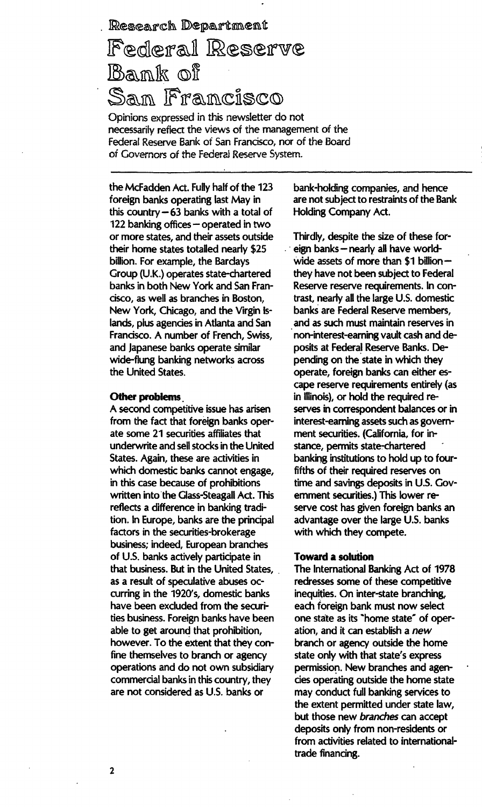Research Department

# Federal Reserve Bank of San Francisco

Opinions expressed in this newsletter do not necessariiy reflect the views of the management of the Federal Reserve Bank of San francisco, nor of the Board of Governors of the Federal Reserve System.

the McFadden Act. Fully half of the 123 foreign banks operating last May in this country  $-63$  banks with a total of 122 banking offices  $-$  operated in two or more states, and their assets outside their home states totalled nearly \$25 billion. For example, the Bardays Group (U. K.) operates state-chartered banks in both New York and San Francisco, as well as branches in Boston, New York, Chicago, and the Virgin islands, plus agencies in Atlanta and San Francisco. A number of French, Swiss, and Japanese banks operate similar wide-flung banking networks across the United States.

#### Other problems

A second competitive issue has arisen from the fact that foreign banks operate some 21 securities affiliates that underwrite and sell stocks in the United States. Again, these are activities in which domestic banks cannot engage, in this case because of prohibitions written into the Glass-Steagall Act. This reflects a difference in banking tradition. In Europe, banks are the principal factors in the securities-brokerage business; indeed, European branches of U.s. banks actively participate in that business. But in the United States, as a result of speculative abuses occurring in the 1920's, domestic banks have been excluded from the securities business. Foreign banks have been able to get around that prohibition, however. To the extent that they confine themselves to branch or agency operations and do not own subsidiary commercial banks in this country, they are not considered as U.S. banks or

bank-holding companies, and hence are not subject to restraints of the Bank Holding Company Act.

Thirdly, despite the size of these foreign banks - nearly all have worldwide assets of more than \$1 billionthey have not been subject to Federal Reserve reserve requirements. In contrast, nearly all the large U.S. domestic banks are Federal Reserve members, and as such must maintain reserves in non-interest-earning vault cash and deposits at Federal Reserve Banks. Depending on the state in which they operate, foreign banks can either escape reserve requirements entirely (as in Illinois), or hold the required reserves in correspondent balances or in interest-earning assets such as government securities. (California, for instance, permits state-chartered banking institutions to hold up to fourfifths of their required reserves on time and savings deposits in U.S. Government securities.) This lower reserve cost has given foreign banks an advantage over the large U.S. banks with which they compete.

## Toward a solution

The International Banking Act of 1978 redresses some of these competitive inequities. On inter-state branching, each foreign bank must now select one state as its "home state" of operation, and it can establish a new branch or agency outside the home state only with that state's express permission. New branches and agencies operating outside the home state may conduct full banking services to the extent permitted under state law, but those new branches can accept deposits only from non-residents or from activities related to internationaltrade financing.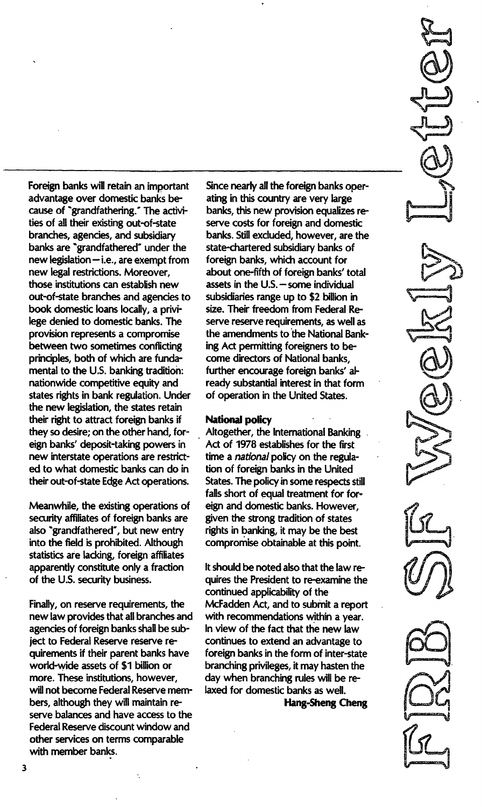Foreign banks will retain an important advantage over domestic banks because of "grandfathering." The activities of all their existing out-of-state branches, agencies, and subsidiary banks are "grandfathered" under the  $new$  legislation  $-$  i.e., are exempt from new legal restrictions. Moreover, those institutions can establish new out-of-state branches and agencies to book domestic loans locally, a privilege denied to domestic banks. The provision represents a compromise between two sometimes conflicting principles, both of which are fundamental to the U.s. banking tradition: nationwide competitive equity and states rights in bank regulation. Under the new legislation, the states retain their right to attract foreign banks if they so desire; on the other hand, foreign banks' deposit-taking powers in new interstate operations are restricted to what domestic banks can do in their out-of-state Edge Act operations.

Meanwhile, the existing operations of security affiliates of foreign banks are also "grandfathered", but new entry into the field is prohibited. Although statistics are lacking, foreign affiliates apparently constitute only a fraction of the U.s. security business.

Finally, on reserve requirements, the new law provides that all branches and agencies of foreign banks shall be subject to Federal Reserve reserve requirements if their parent banks have world-wide assets of \$1 billion or more. These institutions, however, will not become Federal Reserve members, although they will maintain reserve balances and have access to the Federal Reserve discount window and other services on terms comparable with member banks.

Since nearly all the foreign banks operating in this country are very large banks, this new provision equalizes reserve costs for foreign and domestic banks. Still excluded, however, are the state-chartered subsidiary banks of foreign banks, which account for about one-fifth of foreign banks' total assets in the  $U.S.$  - some individual subsidiaries range up to \$2 billion in size. Their freedom from Federal Reserve reserve requirements, as well as the amendments to the National Banking Act permitting foreigners to become directors of National banks, further encourage foreign banks' already substantial interest in that form of operation in the United States.

' - -- ' ..-----\_. \_---

#### National policy

Altogether, the International Banking Act of 1978 establishes for the first time a national policy on the regulation of foreign banks in the United States. The policy in some respects still falls short of equal treatment for foreign and domestic banks. However, given the strong tradition of states rights in banking, it may be the best compromise obtainable at this point.

It should be noted also that the law requires the President to re-examine the continued applicability of the McFadden Act, and to submit a report with recommendations within a year. In view of the fact that the new law continues to extend an advantage to foreign banks in the form of inter-state branching privileges, it may hasten the day when branching rules will be relaxed for domestic banks as well.

Hang-Sheng Cheng